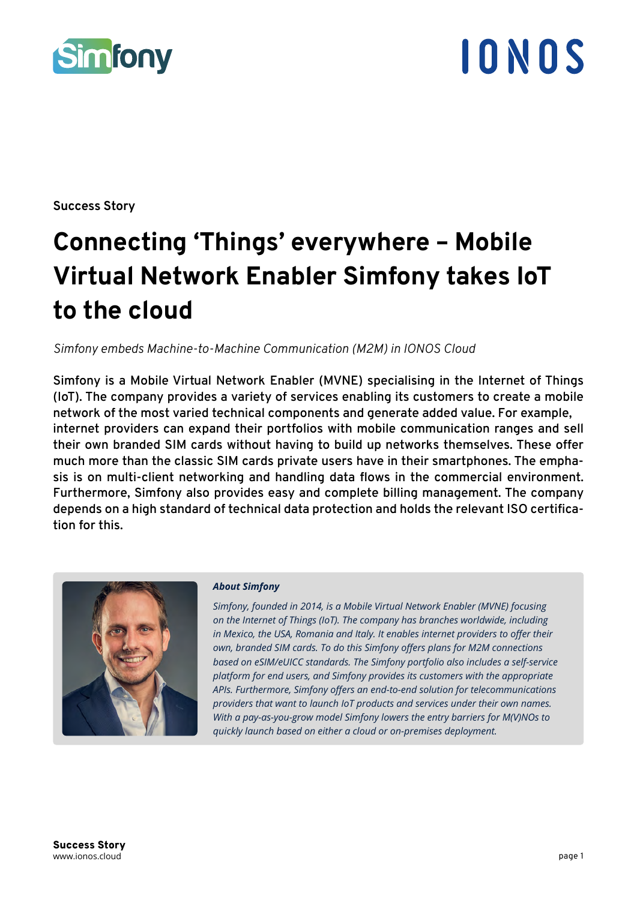

**Success Story**

## **Connecting 'Things' everywhere – Mobile Virtual Network Enabler Simfony takes IoT to the cloud**

*Simfony embeds Machine-to-Machine Communication (M2M) in IONOS Cloud*

**Simfony is a Mobile Virtual Network Enabler (MVNE) specialising in the Internet of Things (IoT). The company provides a variety of services enabling its customers to create a mobile network of the most varied technical components and generate added value. For example, internet providers can expand their portfolios with mobile communication ranges and sell their own branded SIM cards without having to build up networks themselves. These offer much more than the classic SIM cards private users have in their smartphones. The emphasis is on multi-client networking and handling data flows in the commercial environment. Furthermore, Simfony also provides easy and complete billing management. The company depends on a high standard of technical data protection and holds the relevant ISO certification for this.**



#### *About Simfony*

*Simfony, founded in 2014, is a Mobile Virtual Network Enabler (MVNE) focusing on the Internet of Things (IoT). The company has branches worldwide, including in Mexico, the USA, Romania and Italy. It enables internet providers to offer their own, branded SIM cards. To do this Simfony offers plans for M2M connections based on eSIM/eUICC standards. The Simfony portfolio also includes a self-service platform for end users, and Simfony provides its customers with the appropriate APIs. Furthermore, Simfony offers an end-to-end solution for telecommunications providers that want to launch IoT products and services under their own names. With a pay-as-you-grow model Simfony lowers the entry barriers for M(V)NOs to quickly launch based on either a cloud or on-premises deployment.*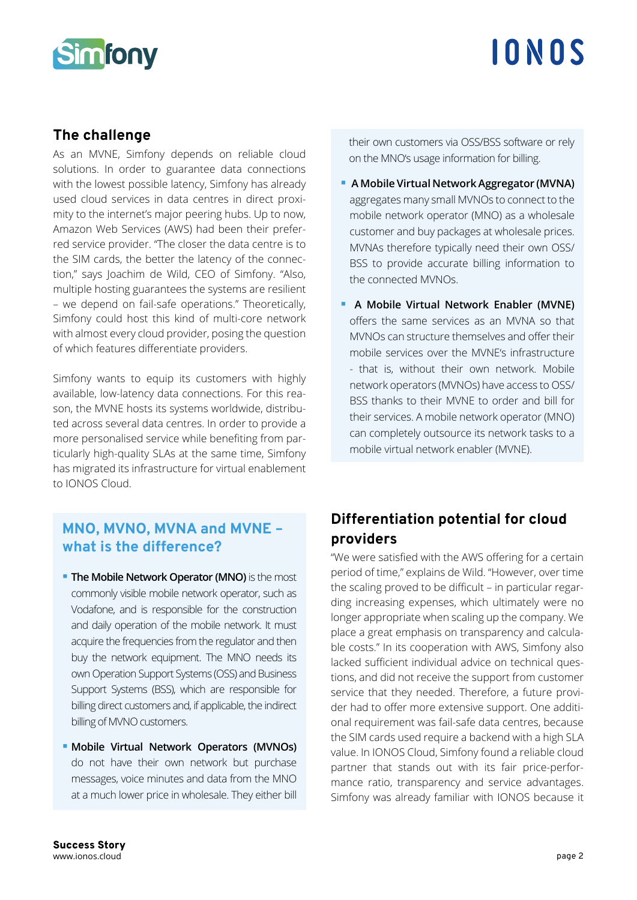

### **The challenge**

As an MVNE, Simfony depends on reliable cloud solutions. In order to guarantee data connections with the lowest possible latency, Simfony has already used cloud services in data centres in direct proximity to the internet's major peering hubs. Up to now, Amazon Web Services (AWS) had been their preferred service provider. "The closer the data centre is to the SIM cards, the better the latency of the connection," says Joachim de Wild, CEO of Simfony. "Also, multiple hosting guarantees the systems are resilient – we depend on fail-safe operations." Theoretically, Simfony could host this kind of multi-core network with almost every cloud provider, posing the question of which features differentiate providers.

Simfony wants to equip its customers with highly available, low-latency data connections. For this reason, the MVNE hosts its systems worldwide, distributed across several data centres. In order to provide a more personalised service while benefiting from particularly high-quality SLAs at the same time, Simfony has migrated its infrastructure for virtual enablement to IONOS Cloud.

### **MNO, MVNO, MVNA and MVNE – what is the difference?**

- **The Mobile Network Operator (MNO)** is the most commonly visible mobile network operator, such as Vodafone, and is responsible for the construction and daily operation of the mobile network. It must acquire the frequencies from the regulator and then buy the network equipment. The MNO needs its own Operation Support Systems (OSS) and Business Support Systems (BSS), which are responsible for billing direct customers and, if applicable, the indirect billing of MVNO customers.
- **Mobile Virtual Network Operators (MVNOs)** do not have their own network but purchase messages, voice minutes and data from the MNO at a much lower price in wholesale. They either bill

their own customers via OSS/BSS software or rely on the MNO's usage information for billing.

- **A Mobile Virtual Network Aggregator (MVNA)**  aggregates many small MVNOs to connect to the mobile network operator (MNO) as a wholesale customer and buy packages at wholesale prices. MVNAs therefore typically need their own OSS/ BSS to provide accurate billing information to the connected MVNOs.
- **A Mobile Virtual Network Enabler (MVNE)**  offers the same services as an MVNA so that MVNOs can structure themselves and offer their mobile services over the MVNE's infrastructure - that is, without their own network. Mobile network operators (MVNOs) have access to OSS/ BSS thanks to their MVNE to order and bill for their services. A mobile network operator (MNO) can completely outsource its network tasks to a mobile virtual network enabler (MVNE).

## **Differentiation potential for cloud providers**

"We were satisfied with the AWS offering for a certain period of time," explains de Wild. "However, over time the scaling proved to be difficult – in particular regarding increasing expenses, which ultimately were no longer appropriate when scaling up the company. We place a great emphasis on transparency and calculable costs." In its cooperation with AWS, Simfony also lacked sufficient individual advice on technical questions, and did not receive the support from customer service that they needed. Therefore, a future provider had to offer more extensive support. One additional requirement was fail-safe data centres, because the SIM cards used require a backend with a high SLA value. In IONOS Cloud, Simfony found a reliable cloud partner that stands out with its fair price-performance ratio, transparency and service advantages. Simfony was already familiar with IONOS because it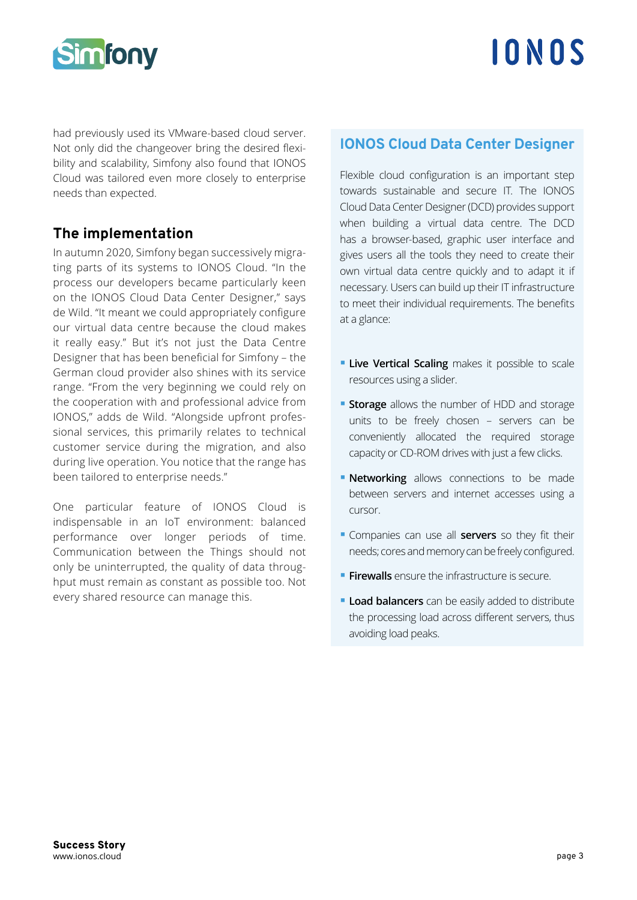

had previously used its VMware-based cloud server. Not only did the changeover bring the desired flexibility and scalability, Simfony also found that IONOS Cloud was tailored even more closely to enterprise needs than expected.

## **The implementation**

In autumn 2020, Simfony began successively migrating parts of its systems to IONOS Cloud. "In the process our developers became particularly keen on the IONOS Cloud Data Center Designer," says de Wild. "It meant we could appropriately configure our virtual data centre because the cloud makes it really easy." But it's not just the Data Centre Designer that has been beneficial for Simfony – the German cloud provider also shines with its service range. "From the very beginning we could rely on the cooperation with and professional advice from IONOS," adds de Wild. "Alongside upfront professional services, this primarily relates to technical customer service during the migration, and also during live operation. You notice that the range has been tailored to enterprise needs."

One particular feature of IONOS Cloud is indispensable in an IoT environment: balanced performance over longer periods of time. Communication between the Things should not only be uninterrupted, the quality of data throughput must remain as constant as possible too. Not every shared resource can manage this.

#### **IONOS Cloud Data Center Designer**

Flexible cloud configuration is an important step towards sustainable and secure IT. The IONOS Cloud Data Center Designer (DCD) provides support when building a virtual data centre. The DCD has a browser-based, graphic user interface and gives users all the tools they need to create their own virtual data centre quickly and to adapt it if necessary. Users can build up their IT infrastructure to meet their individual requirements. The benefits at a glance:

- **Live Vertical Scaling** makes it possible to scale resources using a slider.
- **Storage** allows the number of HDD and storage units to be freely chosen – servers can be conveniently allocated the required storage capacity or CD-ROM drives with just a few clicks.
- **Networking** allows connections to be made between servers and internet accesses using a cursor.
- Companies can use all **servers** so they fit their needs; cores and memory can be freely configured.
- **Firewalls** ensure the infrastructure is secure.
- **Load balancers** can be easily added to distribute the processing load across different servers, thus avoiding load peaks.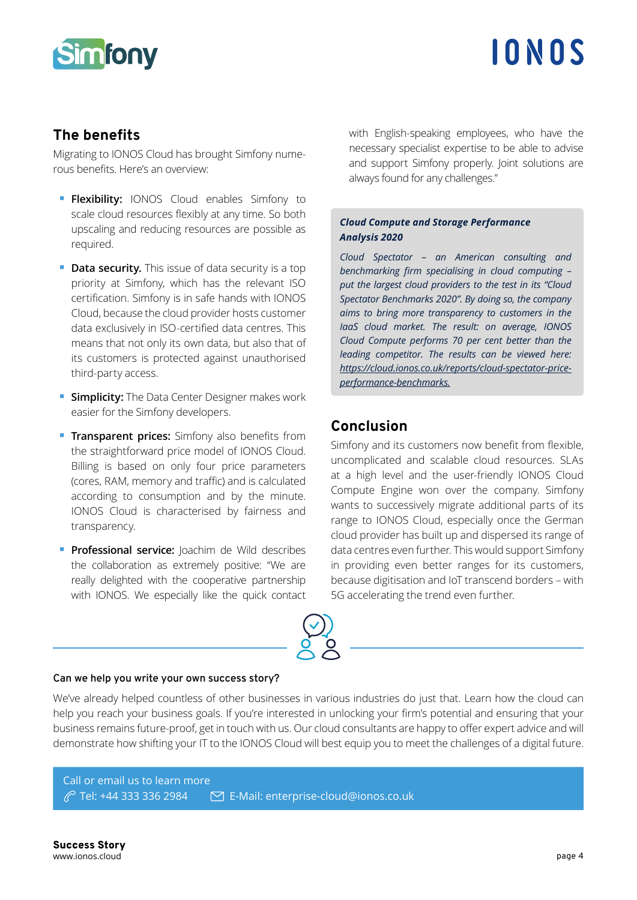

### **The benefits**

Migrating to IONOS Cloud has brought Simfony numerous benefits. Here's an overview:

- **Flexibility:** IONOS Cloud enables Simfony to scale cloud resources flexibly at any time. So both upscaling and reducing resources are possible as required.
- **Data security.** This issue of data security is a top priority at Simfony, which has the relevant ISO certification. Simfony is in safe hands with IONOS Cloud, because the cloud provider hosts customer data exclusively in ISO-certified data centres. This means that not only its own data, but also that of its customers is protected against unauthorised third-party access.
- **Simplicity:** The Data Center Designer makes work easier for the Simfony developers.
- **Transparent prices:** Simfony also benefits from the straightforward price model of IONOS Cloud. Billing is based on only four price parameters (cores, RAM, memory and traffic) and is calculated according to consumption and by the minute. IONOS Cloud is characterised by fairness and transparency.
- **Professional service:** Joachim de Wild describes the collaboration as extremely positive: "We are really delighted with the cooperative partnership with IONOS. We especially like the quick contact

with English-speaking employees, who have the necessary specialist expertise to be able to advise and support Simfony properly. Joint solutions are always found for any challenges."

#### *Cloud Compute and Storage Performance Analysis 2020*

*Cloud Spectator – an American consulting and benchmarking firm specialising in cloud computing – put the largest cloud providers to the test in its "Cloud Spectator Benchmarks 2020". By doing so, the company aims to bring more transparency to customers in the IaaS cloud market. The result: on average, IONOS Cloud Compute performs 70 per cent better than the leading competitor. The results can be viewed here: https://cloud.ionos.co.uk/reports/cloud-spectator-priceperformance-benchmarks.*

## **Conclusion**

Simfony and its customers now benefit from flexible, uncomplicated and scalable cloud resources. SLAs at a high level and the user-friendly IONOS Cloud Compute Engine won over the company. Simfony wants to successively migrate additional parts of its range to IONOS Cloud, especially once the German cloud provider has built up and dispersed its range of data centres even further. This would support Simfony in providing even better ranges for its customers, because digitisation and IoT transcend borders – with 5G accelerating the trend even further.

#### **Can we help you write your own success story?**

We've already helped countless of other businesses in various industries do just that. Learn how the cloud can help you reach your business goals. If you're interested in unlocking your firm's potential and ensuring that your business remains future-proof, get in touch with us. Our cloud consultants are happy to offer expert advice and will demonstrate how shifting your IT to the IONOS Cloud will best equip you to meet the challenges of a digital future.

#### Call or email us to learn more Tel: +44 333 336 2984 E-Mail: enterprise-cloud@ionos.co.uk